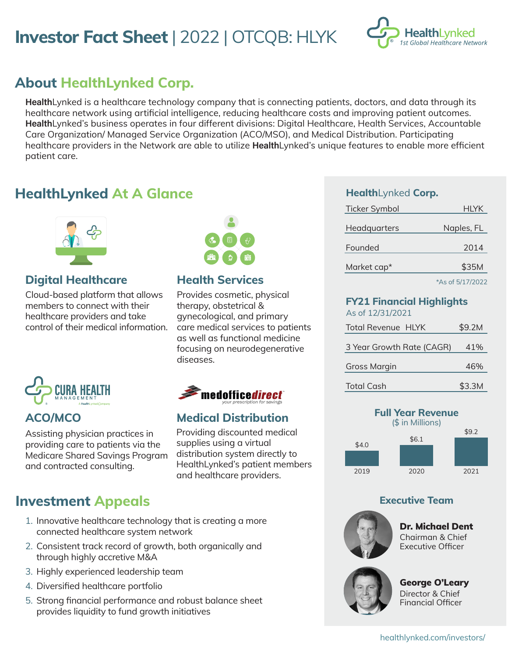# **Investor Fact Sheet** | 2022 | OTCQB: HLYK



# **About HealthLynked Corp.**

HealthLynked is a healthcare technology company that is connecting patients, doctors, and data through its healthcare network using artificial intelligence, reducing healthcare costs and improving patient outcomes. HealthLynked's business operates in four different divisions: Digital Healthcare, Health Services, Accountable Care Organization/ Managed Service Organization (ACO/MSO), and Medical Distribution. Participating healthcare providers in the Network are able to utilize **Health**Lynked's unique features to enable more efficient patient care.

## **HealthLynked At A Glance**



## **Digital Healthcare**

Cloud-based platform that allows members to connect with their healthcare providers and take control of their medical information.



Assisting physician practices in providing care to patients via the Medicare Shared Savings Program and contracted consulting.

## **Investment Appeals**

- 1. Innovative healthcare technology that is creating a more connected healthcare system network
- 2. Consistent track record of growth, both organically and through highly accretive M&A
- 3. Highly experienced leadership team
- 4. Diversified healthcare portfolio
- 5. Strong financial performance and robust balance sheet provides liquidity to fund growth initiatives



## **Health Services**

Provides cosmetic, physical therapy, obstetrical & gynecological, and primary care medical services to patients as well as functional medicine focusing on neurodegenerative diseases.



## **ACO/MCO Medical Distribution**

Providing discounted medical supplies using a virtual distribution system directly to HealthLynked's patient members and healthcare providers.

## **Health**Lynked **Corp.**

| <b>Ticker Symbol</b> | HLYK       |
|----------------------|------------|
| Headquarters         | Naples, FL |
| Founded              | 2014       |
| Market cap*          | \$35M      |
|                      |            |

\*As of 5/17/2022

 $$9.2M$ 

### **FY21 Financial Highlights**   $642/3122$

| AS OT 12/31/2021          |  |  |
|---------------------------|--|--|
| <b>Total Revenue HLYK</b> |  |  |

| 3 Year Growth Rate (CAGR) | 41% |
|---------------------------|-----|
| Gross Margin              | 46% |









Dr. Michael Dent Chairman & Chief Executive Officer



### George O'Leary Director & Chief Financial Officer

healthlynked.com/investors/